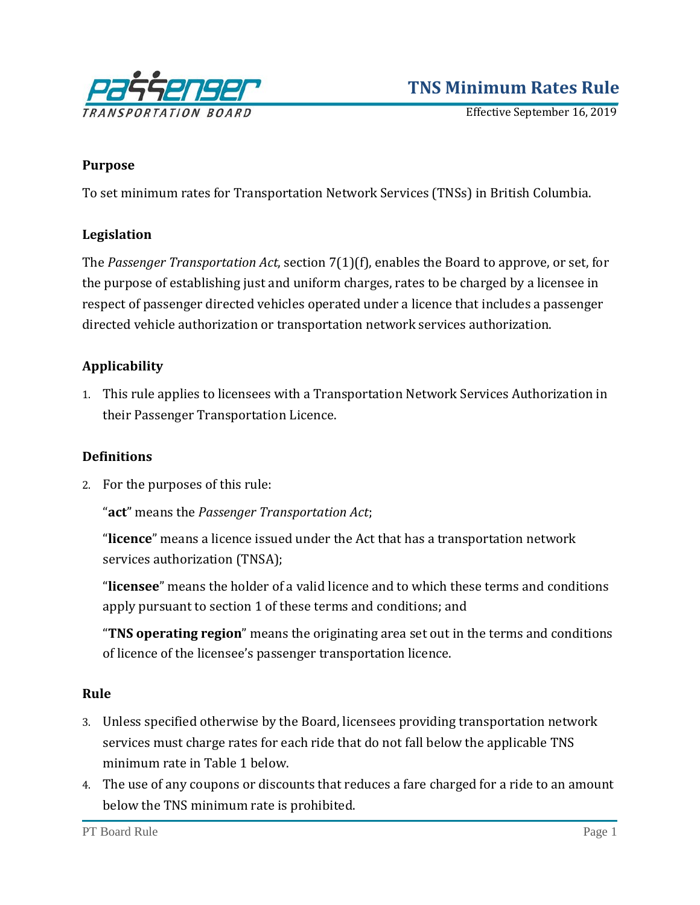

# **TNS Minimum Rates Rule**

Effective September 16, 2019

#### **Purpose**

To set minimum rates for Transportation Network Services (TNSs) in British Columbia.

#### **Legislation**

The *Passenger Transportation Act*, section 7(1)(f), enables the Board to approve, or set, for the purpose of establishing just and uniform charges, rates to be charged by a licensee in respect of passenger directed vehicles operated under a licence that includes a passenger directed vehicle authorization or transportation network services authorization.

#### **Applicability**

1. This rule applies to licensees with a Transportation Network Services Authorization in their Passenger Transportation Licence.

#### **Definitions**

2. For the purposes of this rule:

"**act**" means the *Passenger Transportation Act*;

"**licence**" means a licence issued under the Act that has a transportation network services authorization (TNSA);

"**licensee**" means the holder of a valid licence and to which these terms and conditions apply pursuant to section 1 of these terms and conditions; and

"**TNS operating region**" means the originating area set out in the terms and conditions of licence of the licensee's passenger transportation licence.

#### **Rule**

- 3. Unless specified otherwise by the Board, licensees providing transportation network services must charge rates for each ride that do not fall below the applicable TNS minimum rate in Table 1 below.
- 4. The use of any coupons or discounts that reduces a fare charged for a ride to an amount below the TNS minimum rate is prohibited.